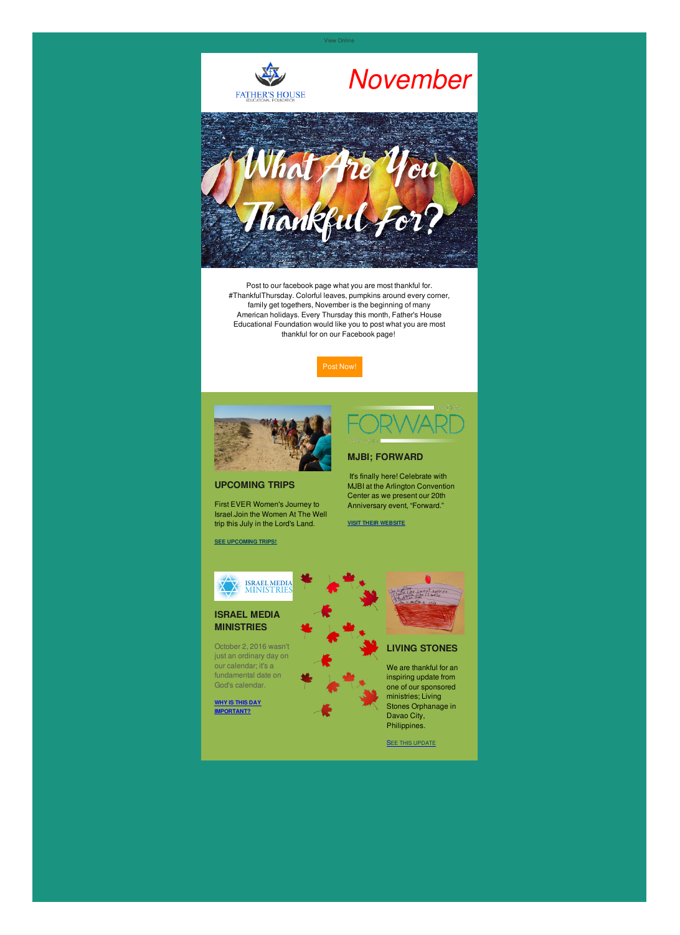View [Online]({VR_HOSTED_LINK})

*November*





Post [Now!](https://www.facebook.com/FathersHouseEducationalFoundation/)



### **UPCOMING TRIPS**

First EVER Women's Journey to Israel.Join the Women At The Well trip this July in the Lord's Land.



It's finally here! Celebrate with MJBI at the Arlington Convention Center as we present our 20th Anniversary event, "Forward."

#### **SEE [UPCOMING](http://fathershousefoundation.com/upcoming-trips) TRIPS!**



#### **MJBI; FORWARD**

**VISIT THEIR [WEBSITE](https://forward.mjbi.org/)**

## **ISRAEL MEDIA MINISTRIES**

October 2, 2016 wasn't just an ordinary day on our calendar; it's a fundamental date on God's calendar.

**WHY IS THIS DAY [IMPORTANT?](http://fathershousefoundation.com/2016/11/07/israel-media-ministries/)**



# **LIVING STONES**

We are thankful for an inspiring update from one of our sponsored ministries; Living Stones Orphanage in Davao City, Philippines.

**SEE THIS [UPDATE](http://fathershousefoundation.com/2016/10/26/living-stones-orphanage-update/)** 

Post to our facebook page what you are most thankful for. #ThankfulThursday. Colorful leaves, pumpkins around every corner, family get togethers, November is the beginning of many American holidays. Every Thursday this month, Father's House Educational Foundation would like you to post what you are most thankful for on our Facebook page!